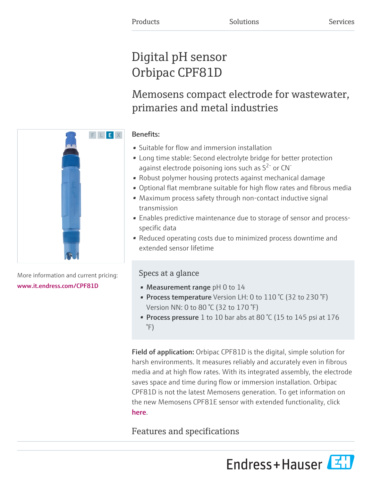# Digital pH sensor Orbipac CPF81D

Memosens compact electrode for wastewater, primaries and metal industries

# Benefits:

- Suitable for flow and immersion installation
- Long time stable: Second electrolyte bridge for better protection against electrode poisoning ions such as  $S^{2-}$  or CN<sup>-</sup>
- Robust polymer housing protects against mechanical damage
- Optional flat membrane suitable for high flow rates and fibrous media
- Maximum process safety through non-contact inductive signal transmission
- Enables predictive maintenance due to storage of sensor and processspecific data
- Reduced operating costs due to minimized process downtime and extended sensor lifetime

# Specs at a glance

- Measurement range pH 0 to 14
- Process temperature Version LH: 0 to 110 °C (32 to 230 °F) Version NN: 0 to 80 °C (32 to 170 °F)
- Process pressure 1 to 10 bar abs at 80 °C (15 to 145 psi at 176 °F)

Field of application: Orbipac CPF81D is the digital, simple solution for harsh environments. It measures reliably and accurately even in fibrous media and at high flow rates. With its integrated assembly, the electrode saves space and time during flow or immersion installation. Orbipac CPF81D is not the latest Memosens generation. To get information on the new Memosens CPF81E sensor with extended functionality, click [here](https://www.endress.com/CPF81E).

# Features and specifications





More information and current pricing: [www.it.endress.com/CPF81D](https://www.it.endress.com/CPF81D)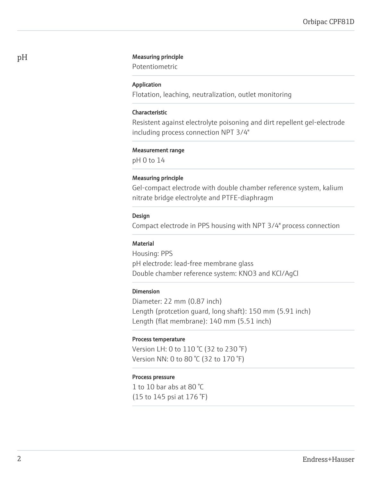### pH Measuring principle

Potentiometric

#### Application

Flotation, leaching, neutralization, outlet monitoring

#### Characteristic

Resistent against electrolyte poisoning and dirt repellent gel-electrode including process connection NPT 3/4"

#### Measurement range

pH 0 to 14

#### Measuring principle

Gel-compact electrode with double chamber reference system, kalium nitrate bridge electrolyte and PTFE-diaphragm

#### Design

Compact electrode in PPS housing with NPT 3/4" process connection

#### **Material**

Housing: PPS pH electrode: lead-free membrane glass Double chamber reference system: KNO3 and KCl/AgCl

#### Dimension

Diameter: 22 mm (0.87 inch) Length (protcetion guard, long shaft): 150 mm (5.91 inch) Length (flat membrane): 140 mm (5.51 inch)

#### Process temperature

Version LH: 0 to 110 °C (32 to 230 °F) Version NN: 0 to 80 °C (32 to 170 °F)

### Process pressure

1 to 10 bar abs at 80 °C (15 to 145 psi at 176 °F)